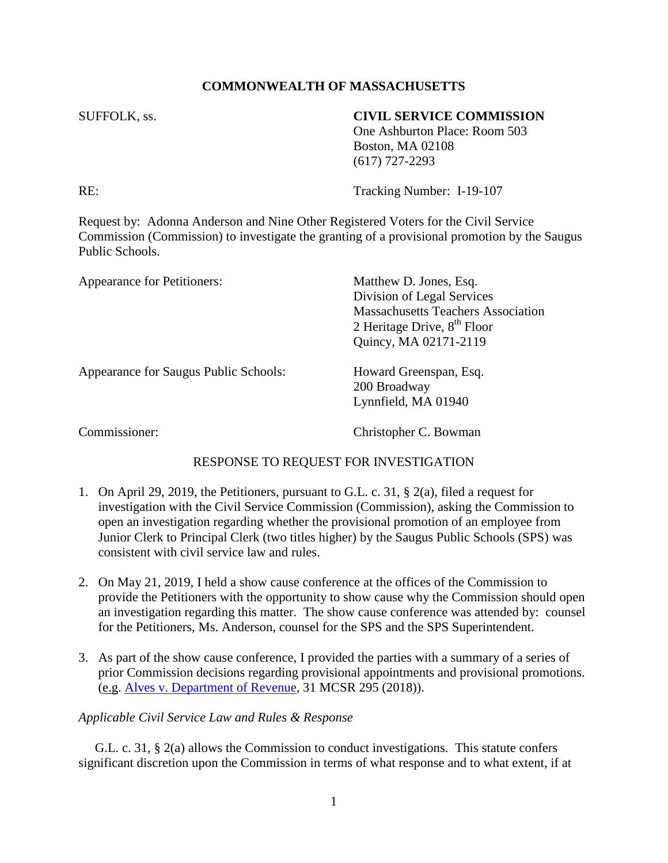## **COMMONWEALTH OF MASSACHUSETTS**

## SUFFOLK, ss. **CIVIL SERVICE COMMISSION**

One Ashburton Place: Room 503 Boston, MA 02108 (617) 727-2293

RE: Tracking Number: I-19-107

Request by: Adonna Anderson and Nine Other Registered Voters for the Civil Service Commission (Commission) to investigate the granting of a provisional promotion by the Saugus Public Schools.

| <b>Appearance for Petitioners:</b>    | Matthew D. Jones, Esq.                    |
|---------------------------------------|-------------------------------------------|
|                                       | Division of Legal Services                |
|                                       | <b>Massachusetts Teachers Association</b> |
|                                       | 2 Heritage Drive, $8th$ Floor             |
|                                       | Quincy, MA 02171-2119                     |
| Appearance for Saugus Public Schools: | Howard Greenspan, Esq.                    |
|                                       | 200 Broadway                              |
|                                       | Lynnfield, MA 01940                       |
| Commissioner:                         | Christopher C. Bowman                     |

## RESPONSE TO REQUEST FOR INVESTIGATION

- 1. On April 29, 2019, the Petitioners, pursuant to G.L. c. 31, § 2(a), filed a request for investigation with the Civil Service Commission (Commission), asking the Commission to open an investigation regarding whether the provisional promotion of an employee from Junior Clerk to Principal Clerk (two titles higher) by the Saugus Public Schools (SPS) was consistent with civil service law and rules.
- 2. On May 21, 2019, I held a show cause conference at the offices of the Commission to provide the Petitioners with the opportunity to show cause why the Commission should open an investigation regarding this matter. The show cause conference was attended by: counsel for the Petitioners, Ms. Anderson, counsel for the SPS and the SPS Superintendent.
- 3. As part of the show cause conference, I provided the parties with a summary of a series of prior Commission decisions regarding provisional appointments and provisional promotions. (e.g. [Alves v. Department of Revenue,](https://www.mass.gov/files/documents/2018/09/27/alves_kevin_092718.pdf) 31 MCSR 295 (2018)).

## *Applicable Civil Service Law and Rules & Response*

 G.L. c. 31, § 2(a) allows the Commission to conduct investigations. This statute confers significant discretion upon the Commission in terms of what response and to what extent, if at